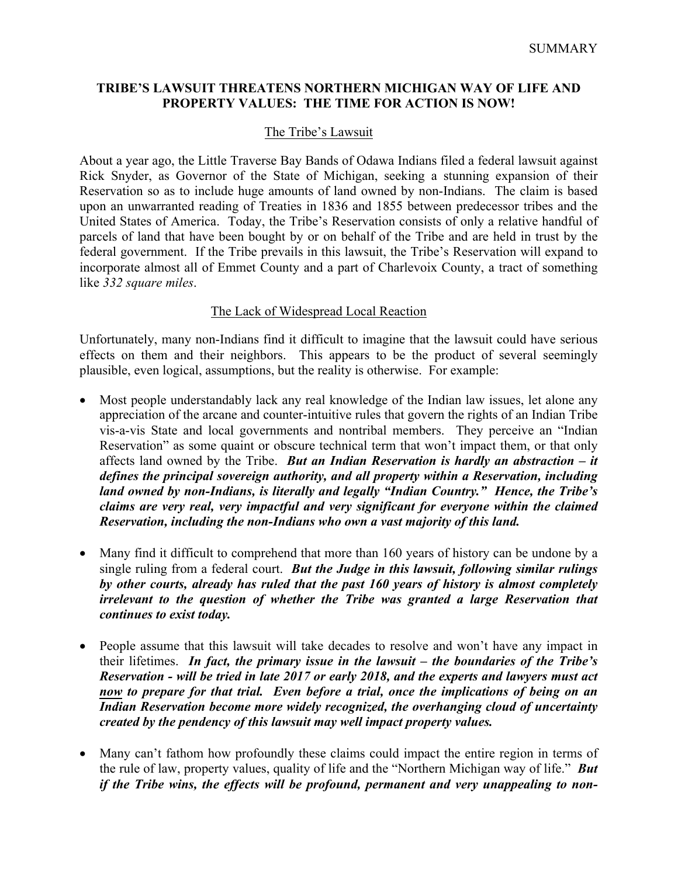# **TRIBE'S LAWSUIT THREATENS NORTHERN MICHIGAN WAY OF LIFE AND PROPERTY VALUES: THE TIME FOR ACTION IS NOW!**

# The Tribe's Lawsuit

About a year ago, the Little Traverse Bay Bands of Odawa Indians filed a federal lawsuit against Rick Snyder, as Governor of the State of Michigan, seeking a stunning expansion of their Reservation so as to include huge amounts of land owned by non-Indians. The claim is based upon an unwarranted reading of Treaties in 1836 and 1855 between predecessor tribes and the United States of America. Today, the Tribe's Reservation consists of only a relative handful of parcels of land that have been bought by or on behalf of the Tribe and are held in trust by the federal government. If the Tribe prevails in this lawsuit, the Tribe's Reservation will expand to incorporate almost all of Emmet County and a part of Charlevoix County, a tract of something like *332 square miles*.

## The Lack of Widespread Local Reaction

Unfortunately, many non-Indians find it difficult to imagine that the lawsuit could have serious effects on them and their neighbors. This appears to be the product of several seemingly plausible, even logical, assumptions, but the reality is otherwise. For example:

- Most people understandably lack any real knowledge of the Indian law issues, let alone any appreciation of the arcane and counter-intuitive rules that govern the rights of an Indian Tribe vis-a-vis State and local governments and nontribal members. They perceive an "Indian Reservation" as some quaint or obscure technical term that won't impact them, or that only affects land owned by the Tribe. *But an Indian Reservation is hardly an abstraction – it defines the principal sovereign authority, and all property within a Reservation, including land owned by non-Indians, is literally and legally "Indian Country." Hence, the Tribe's claims are very real, very impactful and very significant for everyone within the claimed Reservation, including the non-Indians who own a vast majority of this land.*
- Many find it difficult to comprehend that more than 160 years of history can be undone by a single ruling from a federal court. *But the Judge in this lawsuit, following similar rulings by other courts, already has ruled that the past 160 years of history is almost completely irrelevant to the question of whether the Tribe was granted a large Reservation that continues to exist today.*
- People assume that this lawsuit will take decades to resolve and won't have any impact in their lifetimes. *In fact, the primary issue in the lawsuit – the boundaries of the Tribe's Reservation - will be tried in late 2017 or early 2018, and the experts and lawyers must act now to prepare for that trial. Even before a trial, once the implications of being on an Indian Reservation become more widely recognized, the overhanging cloud of uncertainty created by the pendency of this lawsuit may well impact property values.*
- Many can't fathom how profoundly these claims could impact the entire region in terms of the rule of law, property values, quality of life and the "Northern Michigan way of life." *But if the Tribe wins, the effects will be profound, permanent and very unappealing to non-*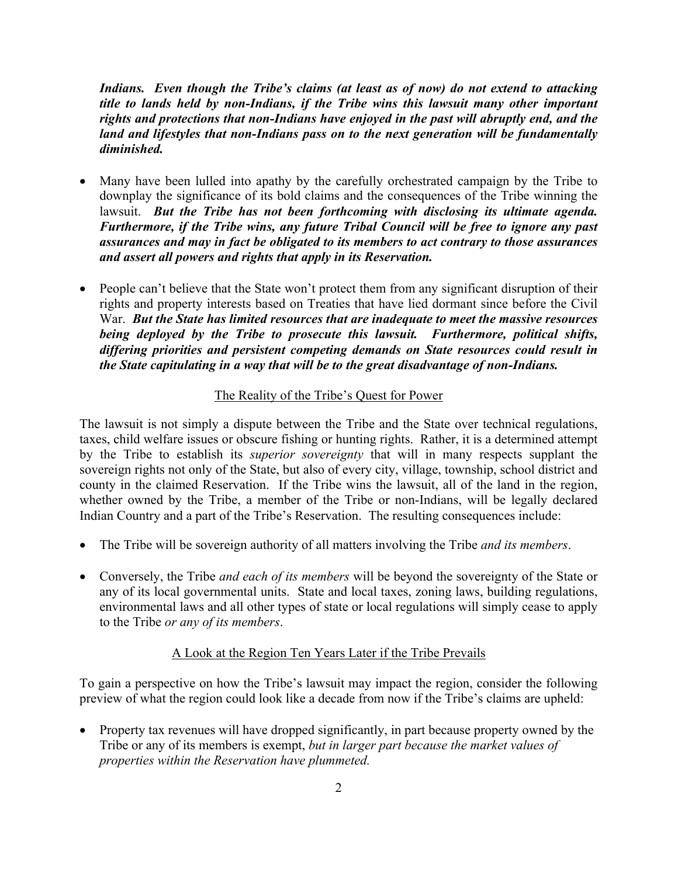*Indians. Even though the Tribe's claims (at least as of now) do not extend to attacking title to lands held by non-Indians, if the Tribe wins this lawsuit many other important rights and protections that non-Indians have enjoyed in the past will abruptly end, and the land and lifestyles that non-Indians pass on to the next generation will be fundamentally diminished.*

- Many have been lulled into apathy by the carefully orchestrated campaign by the Tribe to downplay the significance of its bold claims and the consequences of the Tribe winning the lawsuit. *But the Tribe has not been forthcoming with disclosing its ultimate agenda. Furthermore, if the Tribe wins, any future Tribal Council will be free to ignore any past assurances and may in fact be obligated to its members to act contrary to those assurances and assert all powers and rights that apply in its Reservation.*
- People can't believe that the State won't protect them from any significant disruption of their rights and property interests based on Treaties that have lied dormant since before the Civil War. *But the State has limited resources that are inadequate to meet the massive resources being deployed by the Tribe to prosecute this lawsuit. Furthermore, political shifts, differing priorities and persistent competing demands on State resources could result in the State capitulating in a way that will be to the great disadvantage of non-Indians.*

# The Reality of the Tribe's Quest for Power

The lawsuit is not simply a dispute between the Tribe and the State over technical regulations, taxes, child welfare issues or obscure fishing or hunting rights. Rather, it is a determined attempt by the Tribe to establish its *superior sovereignty* that will in many respects supplant the sovereign rights not only of the State, but also of every city, village, township, school district and county in the claimed Reservation. If the Tribe wins the lawsuit, all of the land in the region, whether owned by the Tribe, a member of the Tribe or non-Indians, will be legally declared Indian Country and a part of the Tribe's Reservation. The resulting consequences include:

- The Tribe will be sovereign authority of all matters involving the Tribe *and its members*.
- Conversely, the Tribe *and each of its members* will be beyond the sovereignty of the State or any of its local governmental units. State and local taxes, zoning laws, building regulations, environmental laws and all other types of state or local regulations will simply cease to apply to the Tribe *or any of its members*.

#### A Look at the Region Ten Years Later if the Tribe Prevails

To gain a perspective on how the Tribe's lawsuit may impact the region, consider the following preview of what the region could look like a decade from now if the Tribe's claims are upheld:

• Property tax revenues will have dropped significantly, in part because property owned by the Tribe or any of its members is exempt, *but in larger part because the market values of properties within the Reservation have plummeted.*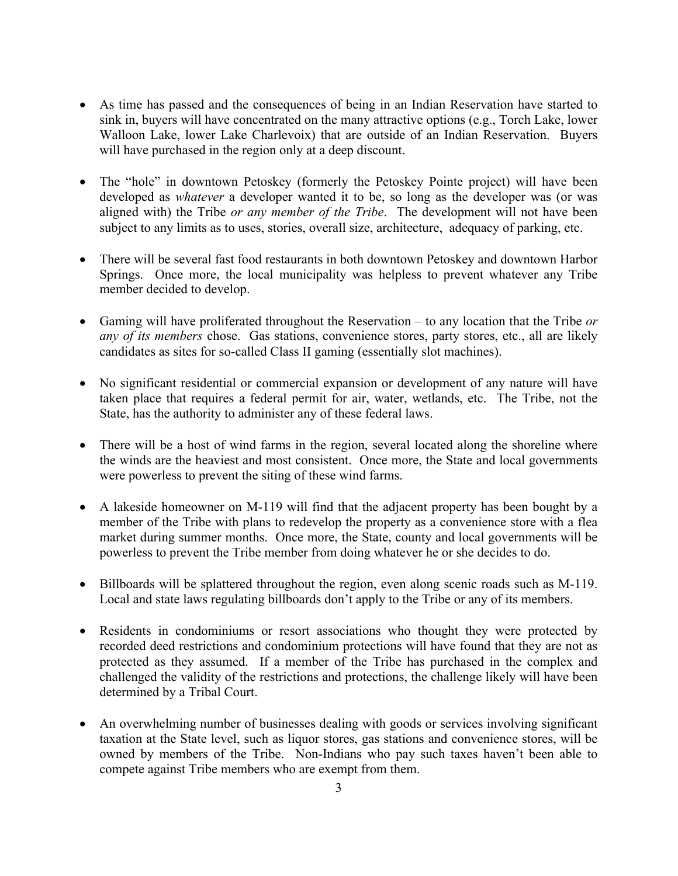- As time has passed and the consequences of being in an Indian Reservation have started to sink in, buyers will have concentrated on the many attractive options (e.g., Torch Lake, lower Walloon Lake, lower Lake Charlevoix) that are outside of an Indian Reservation. Buyers will have purchased in the region only at a deep discount.
- The "hole" in downtown Petoskey (formerly the Petoskey Pointe project) will have been developed as *whatever* a developer wanted it to be, so long as the developer was (or was aligned with) the Tribe *or any member of the Tribe*. The development will not have been subject to any limits as to uses, stories, overall size, architecture, adequacy of parking, etc.
- There will be several fast food restaurants in both downtown Petoskey and downtown Harbor Springs. Once more, the local municipality was helpless to prevent whatever any Tribe member decided to develop.
- Gaming will have proliferated throughout the Reservation to any location that the Tribe *or any of its members* chose. Gas stations, convenience stores, party stores, etc., all are likely candidates as sites for so-called Class II gaming (essentially slot machines).
- No significant residential or commercial expansion or development of any nature will have taken place that requires a federal permit for air, water, wetlands, etc. The Tribe, not the State, has the authority to administer any of these federal laws.
- There will be a host of wind farms in the region, several located along the shoreline where the winds are the heaviest and most consistent. Once more, the State and local governments were powerless to prevent the siting of these wind farms.
- A lakeside homeowner on M-119 will find that the adjacent property has been bought by a member of the Tribe with plans to redevelop the property as a convenience store with a flea market during summer months. Once more, the State, county and local governments will be powerless to prevent the Tribe member from doing whatever he or she decides to do.
- Billboards will be splattered throughout the region, even along scenic roads such as M-119. Local and state laws regulating billboards don't apply to the Tribe or any of its members.
- Residents in condominiums or resort associations who thought they were protected by recorded deed restrictions and condominium protections will have found that they are not as protected as they assumed. If a member of the Tribe has purchased in the complex and challenged the validity of the restrictions and protections, the challenge likely will have been determined by a Tribal Court.
- An overwhelming number of businesses dealing with goods or services involving significant taxation at the State level, such as liquor stores, gas stations and convenience stores, will be owned by members of the Tribe. Non-Indians who pay such taxes haven't been able to compete against Tribe members who are exempt from them.